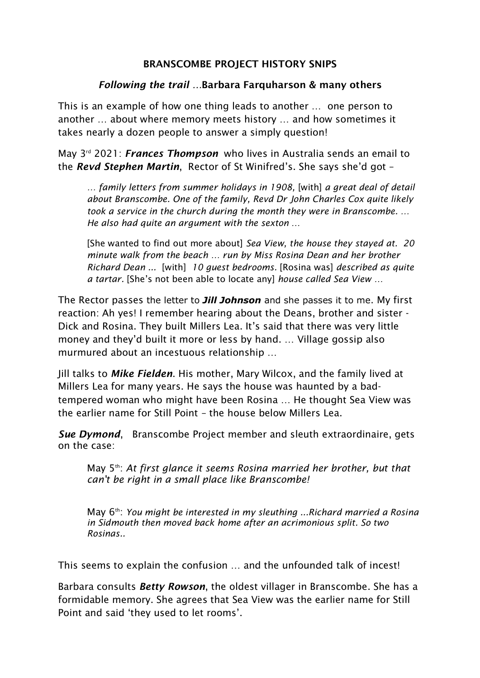## BRANSCOMBE PROJECT HISTORY SNIPS

## *Following the trail …*Barbara Farquharson & many others

This is an example of how one thing leads to another … one person to another … about where memory meets history … and how sometimes it takes nearly a dozen people to answer a simply question!

May 3<sup>rd</sup> 2021: *Frances Thompson* who lives in Australia sends an email to the *Revd Stephen Martin*, Rector of St Winifred's. She says she'd got –

*… family letters from summer holidays in 1908,* [with] *a great deal of detail about Branscombe. One of the family, Revd Dr John Charles Cox quite likely took a service in the church during the month they were in Branscombe. … He also had quite an argument with the sexton …* 

[She wanted to find out more about] *Sea View, the house they stayed at. 20 minute walk from the beach … run by Miss Rosina Dean and her brother Richard Dean ...* [with] *10 guest bedrooms.* [Rosina was] *described as quite a tartar.* [She's not been able to locate any] *house called Sea View …* 

The Rector passes the letter to *Jill Johnson* and she passes it to me. My first reaction: Ah yes! I remember hearing about the Deans, brother and sister - Dick and Rosina. They built Millers Lea. It's said that there was very little money and they'd built it more or less by hand. … Village gossip also murmured about an incestuous relationship …

Jill talks to *Mike Fielden*. His mother, Mary Wilcox, and the family lived at Millers Lea for many years. He says the house was haunted by a badtempered woman who might have been Rosina … He thought Sea View was the earlier name for Still Point – the house below Millers Lea.

*Sue Dymond*, Branscombe Project member and sleuth extraordinaire, gets on the case:

May 5<sup>th</sup>: At first glance it seems Rosina married her brother, but that *can't be right in a small place like Branscombe!*

May 6th: *You might be interested in my sleuthing ...Richard married a Rosina in Sidmouth then moved back home after an acrimonious split. So two Rosinas..*

This seems to explain the confusion … and the unfounded talk of incest!

Barbara consults *Betty Rowson*, the oldest villager in Branscombe. She has a formidable memory. She agrees that Sea View was the earlier name for Still Point and said 'they used to let rooms'.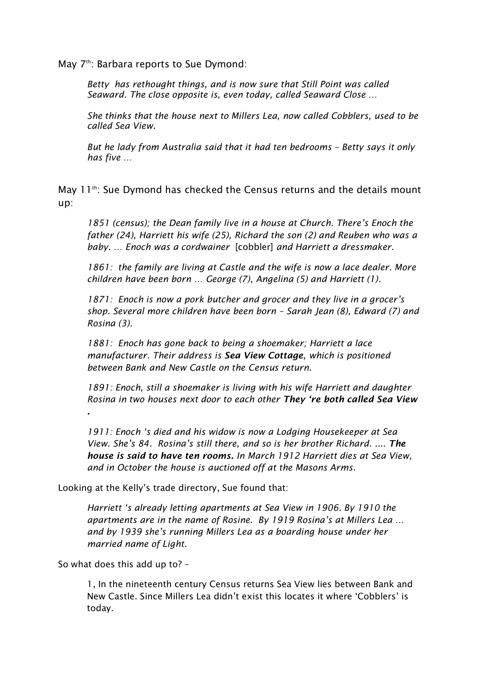May 7<sup>th</sup>: Barbara reports to Sue Dymond:

*Betty has rethought things, and is now sure that Still Point was called Seaward. The close opposite is, even today, called Seaward Close …*

*She thinks that the house next to Millers Lea, now called Cobblers, used to be called Sea View.*

*But he lady from Australia said that it had ten bedrooms – Betty says it only has five …* 

May 11<sup>th</sup>: Sue Dymond has checked the Census returns and the details mount up:

*1851 (census); the Dean family live in a house at Church. There's Enoch the father (24), Harriett his wife (25), Richard the son (2) and Reuben who was a baby. … Enoch was a cordwainer* [cobbler] *and Harriett a dressmaker.*

*1861: the family are living at Castle and the wife is now a lace dealer. More children have been born … George (7), Angelina (5) and Harriett (1).*

*1871: Enoch is now a pork butcher and grocer and they live in a grocer's shop. Several more children have been born – Sarah Jean (8), Edward (7) and Rosina (3).* 

*1881: Enoch has gone back to being a shoemaker; Harriett a lace manufacturer. Their address is Sea View Cottage, which is positioned between Bank and New Castle on the Census return.*

*1891: Enoch, still a shoemaker is living with his wife Harriett and daughter Rosina in two houses next door to each other They 're both called Sea View* 

*1911: Enoch 's died and his widow is now a Lodging Housekeeper at Sea View. She's 84. Rosina's still there, and so is her brother Richard. .... The house is said to have ten rooms. In March 1912 Harriett dies at Sea View, and in October the house is auctioned off at the Masons Arms.*

Looking at the Kelly's trade directory, Sue found that:

*Harriett 's already letting apartments at Sea View in 1906. By 1910 the apartments are in the name of Rosine. By 1919 Rosina's at Millers Lea … and by 1939 she's running Millers Lea as a boarding house under her married name of Light.*

So what does this add up to? –

*.*

1, In the nineteenth century Census returns Sea View lies between Bank and New Castle. Since Millers Lea didn't exist this locates it where 'Cobblers' is today.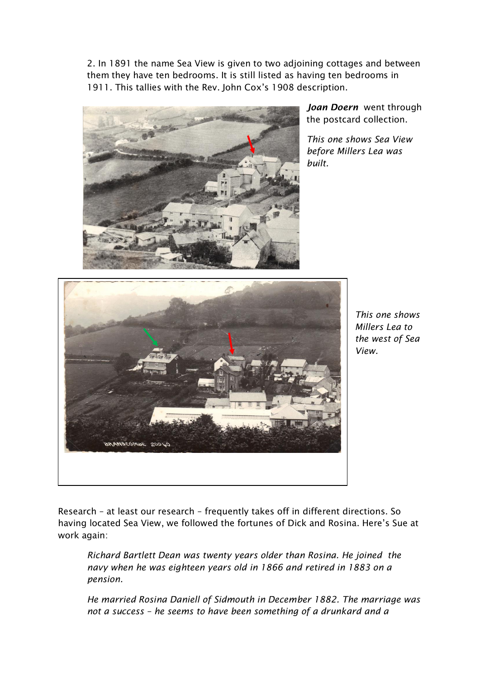2. In 1891 the name Sea View is given to two adjoining cottages and between them they have ten bedrooms. It is still listed as having ten bedrooms in 1911. This tallies with the Rev. John Cox's 1908 description.



*Joan Doern* went through the postcard collection.

*This one shows Sea View before Millers Lea was built.* 



*This one shows Millers Lea to the west of Sea View.*

Research – at least our research – frequently takes off in different directions. So having located Sea View, we followed the fortunes of Dick and Rosina. Here's Sue at work again:

*Richard Bartlett Dean was twenty years older than Rosina. He joined the navy when he was eighteen years old in 1866 and retired in 1883 on a pension.* 

*He married Rosina Daniell of Sidmouth in December 1882. The marriage was not a success – he seems to have been something of a drunkard and a*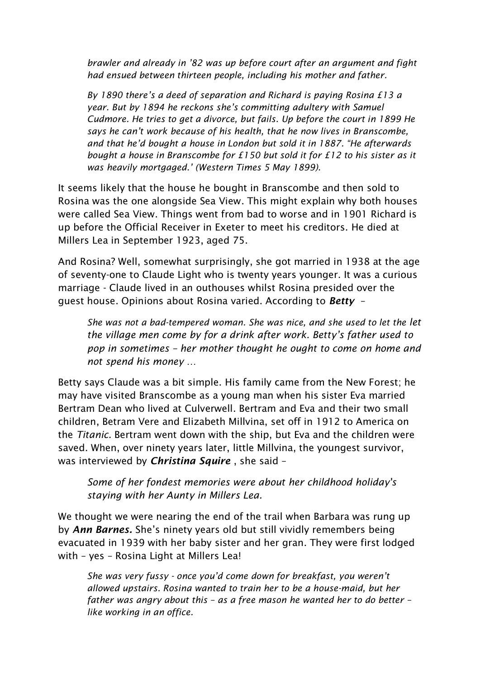*brawler and already in '82 was up before court after an argument and fight had ensued between thirteen people, including his mother and father.* 

*By 1890 there's a deed of separation and Richard is paying Rosina £13 a year. But by 1894 he reckons she's committing adultery with Samuel Cudmore. He tries to get a divorce, but fails. Up before the court in 1899 He says he can't work because of his health, that he now lives in Branscombe, and that he'd bought a house in London but sold it in 1887. "He afterwards bought a house in Branscombe for £150 but sold it for £12 to his sister as it was heavily mortgaged.' (Western Times 5 May 1899).* 

It seems likely that the house he bought in Branscombe and then sold to Rosina was the one alongside Sea View. This might explain why both houses were called Sea View. Things went from bad to worse and in 1901 Richard is up before the Official Receiver in Exeter to meet his creditors. He died at Millers Lea in September 1923, aged 75.

And Rosina? Well, somewhat surprisingly, she got married in 1938 at the age of seventy-one to Claude Light who is twenty years younger. It was a curious marriage - Claude lived in an outhouses whilst Rosina presided over the guest house. Opinions about Rosina varied. According to *Betty* –

*She was not a bad-tempered woman. She was nice, and she used to let the let the village men come by for a drink after work. Betty's father used to pop in sometimes – her mother thought he ought to come on home and not spend his money …*

Betty says Claude was a bit simple. His family came from the New Forest; he may have visited Branscombe as a young man when his sister Eva married Bertram Dean who lived at Culverwell. Bertram and Eva and their two small children, Betram Vere and Elizabeth Millvina, set off in 1912 to America on the *Titanic.* Bertram went down with the ship, but Eva and the children were saved. When, over ninety years later, little Millvina, the youngest survivor, was interviewed by *Christina Squire* , she said –

*Some of her fondest memories were about her childhood holiday's staying with her Aunty in Millers Lea.* 

We thought we were nearing the end of the trail when Barbara was rung up by *Ann Barnes.* She's ninety years old but still vividly remembers being evacuated in 1939 with her baby sister and her gran. They were first lodged with – yes – Rosina Light at Millers Lea!

*She was very fussy - once you'd come down for breakfast, you weren't allowed upstairs. Rosina wanted to train her to be a house-maid, but her father was angry about this – as a free mason he wanted her to do better – like working in an office.*